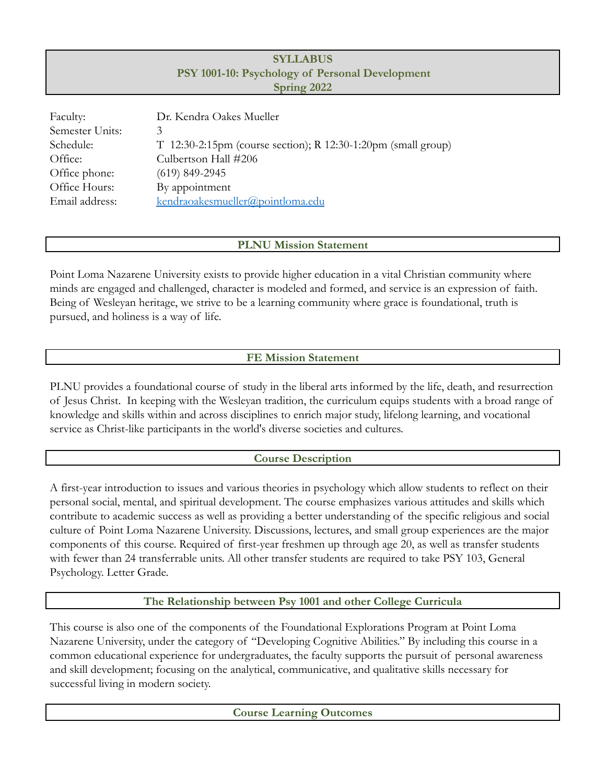# **SYLLABUS PSY 1001-10: Psychology of Personal Development Spring 2022**

| Faculty:        | Dr. Kendra Oakes Mueller                                        |  |  |  |
|-----------------|-----------------------------------------------------------------|--|--|--|
| Semester Units: | 3                                                               |  |  |  |
| Schedule:       | $T$ 12:30-2:15pm (course section); R 12:30-1:20pm (small group) |  |  |  |
| Office:         | Culbertson Hall #206                                            |  |  |  |
| Office phone:   | $(619)$ 849-2945                                                |  |  |  |
| Office Hours:   | By appointment                                                  |  |  |  |
| Email address:  | kendraoakesmueller@pointloma.edu                                |  |  |  |
|                 |                                                                 |  |  |  |

## **PLNU Mission Statement**

Point Loma Nazarene University exists to provide higher education in a vital Christian community where minds are engaged and challenged, character is modeled and formed, and service is an expression of faith. Being of Wesleyan heritage, we strive to be a learning community where grace is foundational, truth is pursued, and holiness is a way of life.

# **FE Mission Statement**

PLNU provides a foundational course of study in the liberal arts informed by the life, death, and resurrection of Jesus Christ. In keeping with the Wesleyan tradition, the curriculum equips students with a broad range of knowledge and skills within and across disciplines to enrich major study, lifelong learning, and vocational service as Christ-like participants in the world's diverse societies and cultures.

## **Course Description**

A first-year introduction to issues and various theories in psychology which allow students to reflect on their personal social, mental, and spiritual development. The course emphasizes various attitudes and skills which contribute to academic success as well as providing a better understanding of the specific religious and social culture of Point Loma Nazarene University. Discussions, lectures, and small group experiences are the major components of this course. Required of first-year freshmen up through age 20, as well as transfer students with fewer than 24 transferrable units. All other transfer students are required to take PSY 103, General Psychology. Letter Grade.

## **The Relationship between Psy 1001 and other College Curricula**

This course is also one of the components of the Foundational Explorations Program at Point Loma Nazarene University, under the category of "Developing Cognitive Abilities." By including this course in a common educational experience for undergraduates, the faculty supports the pursuit of personal awareness and skill development; focusing on the analytical, communicative, and qualitative skills necessary for successful living in modern society.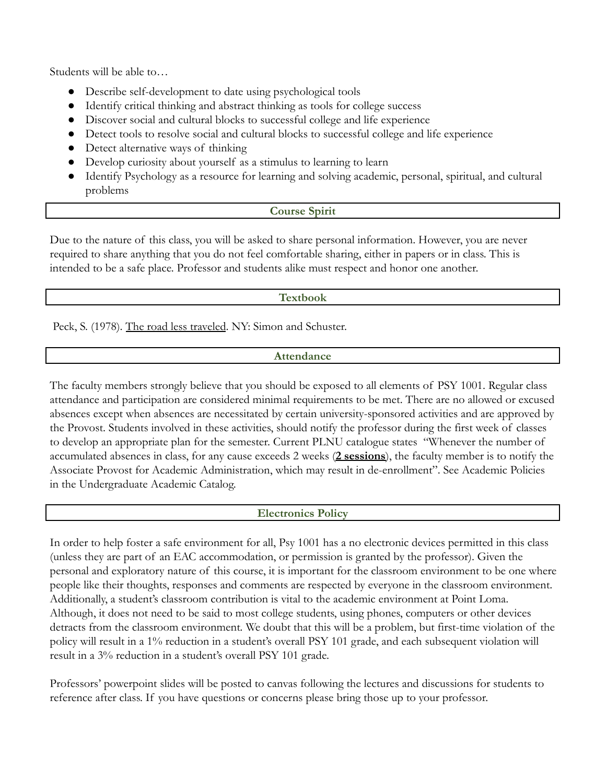Students will be able to…

- Describe self-development to date using psychological tools
- Identify critical thinking and abstract thinking as tools for college success
- Discover social and cultural blocks to successful college and life experience
- Detect tools to resolve social and cultural blocks to successful college and life experience
- Detect alternative ways of thinking
- Develop curiosity about yourself as a stimulus to learning to learn
- Identify Psychology as a resource for learning and solving academic, personal, spiritual, and cultural problems

#### **Course Spirit**

Due to the nature of this class, you will be asked to share personal information. However, you are never required to share anything that you do not feel comfortable sharing, either in papers or in class. This is intended to be a safe place. Professor and students alike must respect and honor one another.

### **Textbook**

Peck, S. (1978). The road less traveled. NY: Simon and Schuster.

#### **Attendance**

The faculty members strongly believe that you should be exposed to all elements of PSY 1001. Regular class attendance and participation are considered minimal requirements to be met. There are no allowed or excused absences except when absences are necessitated by certain university-sponsored activities and are approved by the Provost. Students involved in these activities, should notify the professor during the first week of classes to develop an appropriate plan for the semester. Current PLNU catalogue states "Whenever the number of accumulated absences in class, for any cause exceeds 2 weeks (**2 sessions**), the faculty member is to notify the Associate Provost for Academic Administration, which may result in de-enrollment". See Academic Policies in the Undergraduate Academic Catalog.

### **Electronics Policy**

In order to help foster a safe environment for all, Psy 1001 has a no electronic devices permitted in this class (unless they are part of an EAC accommodation, or permission is granted by the professor). Given the personal and exploratory nature of this course, it is important for the classroom environment to be one where people like their thoughts, responses and comments are respected by everyone in the classroom environment. Additionally, a student's classroom contribution is vital to the academic environment at Point Loma. Although, it does not need to be said to most college students, using phones, computers or other devices detracts from the classroom environment*.* We doubt that this will be a problem, but first-time violation of the policy will result in a 1% reduction in a student's overall PSY 101 grade, and each subsequent violation will result in a 3% reduction in a student's overall PSY 101 grade.

Professors' powerpoint slides will be posted to canvas following the lectures and discussions for students to reference after class. If you have questions or concerns please bring those up to your professor.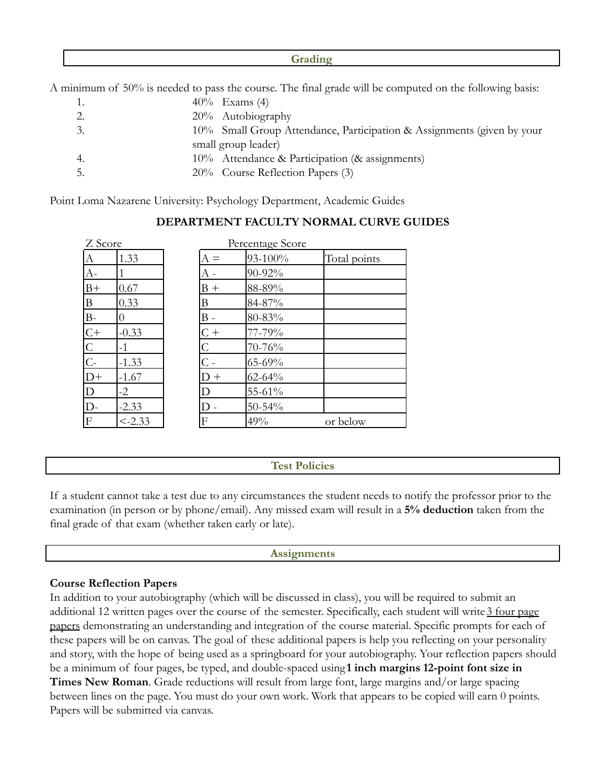#### **Grading**

A minimum of 50% is needed to pass the course. The final grade will be computed on the following basis:

1.  $40\%$  Exams (4) 2. 20% Autobiography 3. 10% Small Group Attendance, Participation & Assignments (given by your small group leader) 4. 10% Attendance & Participation (& assignments) 5. 20% Course Reflection Papers (3)

Point Loma Nazarene University: Psychology Department, Academic Guides

| Z Score        |                  | Percentage Score     |             |              |
|----------------|------------------|----------------------|-------------|--------------|
| $\overline{A}$ | 1.33             | $A =$                | 93-100%     | Total points |
| $A-$           |                  |                      | 90-92%      |              |
| $B+$           | 0.67             | $B +$                | 88-89%      |              |
| $\overline{B}$ | 0.33             | Β                    | 84-87%      |              |
| $B-$           | $\left( \right)$ | B -                  | 80-83%      |              |
| $rac{C+}{C}$   | $-0.33$          | $C +$                | 77-79%      |              |
|                | $-1$             | $\overline{C}$       | 70-76%      |              |
|                | $-1.33$          | ${}^{\mathrm{t}}C$ - | $65 - 69\%$ |              |
| $D+$           | $-1.67$          | $D +$                | $62 - 64%$  |              |
| $\overline{D}$ | $-2$             | D                    | 55-61%      |              |
| $D-$           | $-2.33$          |                      | $50 - 54\%$ |              |
| F              | $< -2.33$        | F                    | 49%         | or below     |

# **DEPARTMENT FACULTY NORMAL CURVE GUIDES**

### **Test Policies**

If a student cannot take a test due to any circumstances the student needs to notify the professor prior to the examination (in person or by phone/email). Any missed exam will result in a **5% deduction** taken from the final grade of that exam (whether taken early or late).

#### **Assignments**

### **Course Reflection Papers**

In addition to your autobiography (which will be discussed in class), you will be required to submit an additional 12 written pages over the course of the semester. Specifically, each student will write 3 four page papers demonstrating an understanding and integration of the course material. Specific prompts for each of these papers will be on canvas. The goal of these additional papers is help you reflecting on your personality and story, with the hope of being used as a springboard for your autobiography. Your reflection papers should be a minimum of four pages, be typed, and double-spaced using **1 inch margins 12-point font size in Times New Roman**. Grade reductions will result from large font, large margins and/or large spacing between lines on the page. You must do your own work. Work that appears to be copied will earn 0 points. Papers will be submitted via canvas.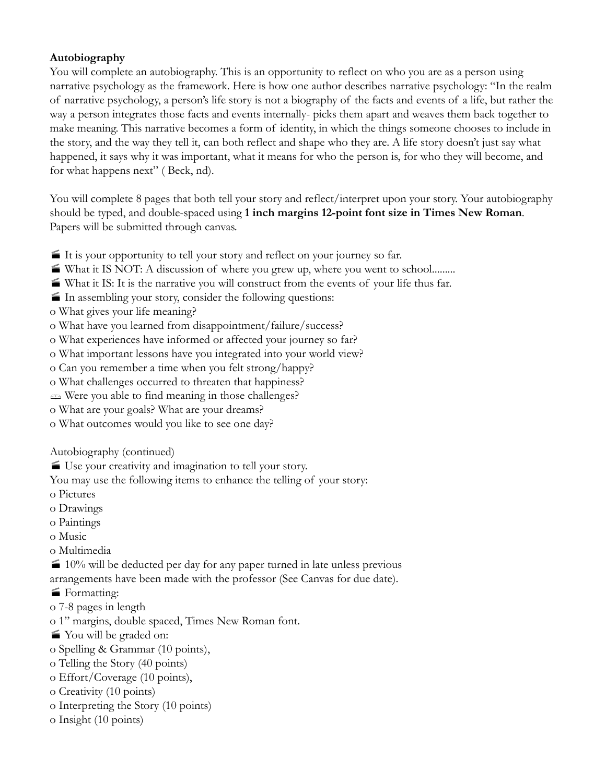## **Autobiography**

You will complete an autobiography. This is an opportunity to reflect on who you are as a person using narrative psychology as the framework. Here is how one author describes narrative psychology: "In the realm of narrative psychology, a person's life story is not a biography of the facts and events of a life, but rather the way a person integrates those facts and events internally- picks them apart and weaves them back together to make meaning. This narrative becomes a form of identity, in which the things someone chooses to include in the story, and the way they tell it, can both reflect and shape who they are. A life story doesn't just say what happened, it says why it was important, what it means for who the person is, for who they will become, and for what happens next" ( Beck, nd).

You will complete 8 pages that both tell your story and reflect/interpret upon your story. Your autobiography should be typed, and double-spaced using **1 inch margins 12-point font size in Times New Roman**. Papers will be submitted through canvas.

- It is your opportunity to tell your story and reflect on your journey so far.
- What it IS NOT: A discussion of where you grew up, where you went to school.........
- What it IS: It is the narrative you will construct from the events of your life thus far.
- In assembling your story, consider the following questions:
- o What gives your life meaning?
- o What have you learned from disappointment/failure/success?
- o What experiences have informed or affected your journey so far?
- o What important lessons have you integrated into your world view?
- o Can you remember a time when you felt strong/happy?
- o What challenges occurred to threaten that happiness?
- **EXECUTE:** Were you able to find meaning in those challenges?
- o What are your goals? What are your dreams?
- o What outcomes would you like to see one day?

Autobiography (continued)

■ Use your creativity and imagination to tell your story.

You may use the following items to enhance the telling of your story:

- o Pictures
- o Drawings
- o Paintings
- o Music
- o Multimedia

 $\mathbf{I}$  10% will be deducted per day for any paper turned in late unless previous arrangements have been made with the professor (See Canvas for due date).

- **Formatting:**
- o 7-8 pages in length
- o 1" margins, double spaced, Times New Roman font.
- You will be graded on:
- o Spelling & Grammar (10 points),
- o Telling the Story (40 points)
- o Effort/Coverage (10 points),
- o Creativity (10 points)
- o Interpreting the Story (10 points)
- o Insight (10 points)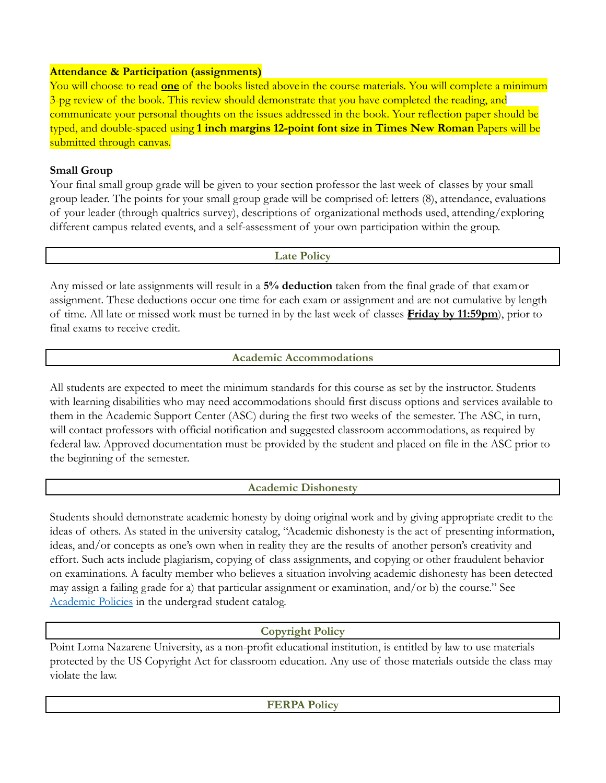### **Attendance & Participation (assignments)**

You will choose to read **one** of the books listed above in the course materials. You will complete a minimum 3-pg review of the book. This review should demonstrate that you have completed the reading, and communicate your personal thoughts on the issues addressed in the book. Your reflection paper should be typed, and double-spaced using **1 inch margins 12-point font size in Times New Roman** Papers will be submitted through canvas.

# **Small Group**

Your final small group grade will be given to your section professor the last week of classes by your small group leader. The points for your small group grade will be comprised of: letters (8), attendance, evaluations of your leader (through qualtrics survey), descriptions of organizational methods used, attending/exploring different campus related events, and a self-assessment of your own participation within the group.

### **Late Policy**

Any missed or late assignments will result in a **5% deduction** taken from the final grade of that examor assignment. These deductions occur one time for each exam or assignment and are not cumulative by length of time. All late or missed work must be turned in by the last week of classes (**Friday by 11:59pm**), prior to final exams to receive credit.

## **Academic Accommodations**

All students are expected to meet the minimum standards for this course as set by the instructor. Students with learning disabilities who may need accommodations should first discuss options and services available to them in the Academic Support Center (ASC) during the first two weeks of the semester. The ASC, in turn, will contact professors with official notification and suggested classroom accommodations, as required by federal law. Approved documentation must be provided by the student and placed on file in the ASC prior to the beginning of the semester.

## **Academic Dishonesty**

Students should demonstrate academic honesty by doing original work and by giving appropriate credit to the ideas of others. As stated in the university catalog, "Academic dishonesty is the act of presenting information, ideas, and/or concepts as one's own when in reality they are the results of another person's creativity and effort. Such acts include plagiarism, copying of class assignments, and copying or other fraudulent behavior on examinations. A faculty member who believes a situation involving academic dishonesty has been detected may assign a failing grade for a) that particular assignment or examination, and/or b) the course." See [Academic Policies](http://www.pointloma.edu/experience/academics/catalogs/undergraduate-catalog/point-loma-education/academic-policies) in the undergrad student catalog.

## **Copyright Policy**

Point Loma Nazarene University, as a non-profit educational institution, is entitled by law to use materials protected by the US Copyright Act for classroom education. Any use of those materials outside the class may violate the law.

**FERPA Policy**